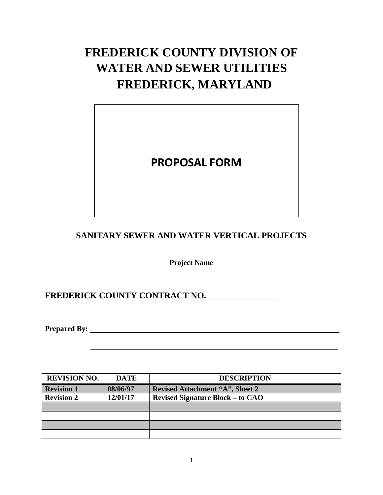# **FREDERICK COUNTY DIVISION OF WATER AND SEWER UTILITIES FREDERICK, MARYLAND**

# **PROPOSAL FORM**

# **SANITARY SEWER AND WATER VERTICAL PROJECTS**

**Project Name**

**FREDERICK COUNTY CONTRACT NO.**

**Prepared By:** 

| <b>REVISION NO.</b> | <b>DATE</b> | <b>DESCRIPTION</b>                      |
|---------------------|-------------|-----------------------------------------|
| <b>Revision 1</b>   | 08/06/97    | <b>Revised Attachment "A", Sheet 2</b>  |
| <b>Revision 2</b>   | 12/01/17    | <b>Revised Signature Block – to CAO</b> |
|                     |             |                                         |
|                     |             |                                         |
|                     |             |                                         |
|                     |             |                                         |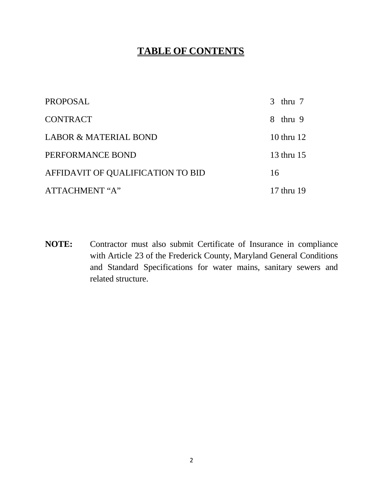# **TABLE OF CONTENTS**

| <b>PROPOSAL</b>                   | thru 7<br>3 |
|-----------------------------------|-------------|
| <b>CONTRACT</b>                   | thru 9<br>8 |
| <b>LABOR &amp; MATERIAL BOND</b>  | 10 thru 12  |
| PERFORMANCE BOND                  | 13 thru 15  |
| AFFIDAVIT OF QUALIFICATION TO BID | 16          |
| ATTACHMENT "A"                    | 17 thru 19  |

**NOTE:** Contractor must also submit Certificate of Insurance in compliance with Article 23 of the Frederick County, Maryland General Conditions and Standard Specifications for water mains, sanitary sewers and related structure.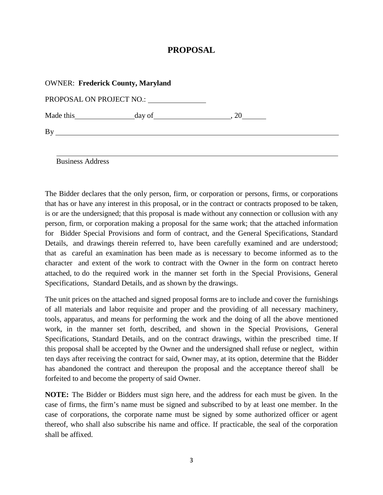# **PROPOSAL**

| <b>OWNER: Frederick County, Maryland</b> |                          |  |
|------------------------------------------|--------------------------|--|
|                                          | PROPOSAL ON PROJECT NO.: |  |
|                                          |                          |  |
|                                          |                          |  |
|                                          |                          |  |

Business Address

The Bidder declares that the only person, firm, or corporation or persons, firms, or corporations that has or have any interest in this proposal, or in the contract or contracts proposed to be taken, is or are the undersigned; that this proposal is made without any connection or collusion with any person, firm, or corporation making a proposal for the same work; that the attached information for Bidder Special Provisions and form of contract, and the General Specifications, Standard Details, and drawings therein referred to, have been carefully examined and are understood; that as careful an examination has been made as is necessary to become informed as to the character and extent of the work to contract with the Owner in the form on contract hereto attached, to do the required work in the manner set forth in the Special Provisions, General Specifications, Standard Details, and as shown by the drawings.

The unit prices on the attached and signed proposal forms are to include and cover the furnishings of all materials and labor requisite and proper and the providing of all necessary machinery, tools, apparatus, and means for performing the work and the doing of all the above mentioned work, in the manner set forth, described, and shown in the Special Provisions, General Specifications, Standard Details, and on the contract drawings, within the prescribed time. If this proposal shall be accepted by the Owner and the undersigned shall refuse or neglect, within ten days after receiving the contract for said, Owner may, at its option, determine that the Bidder has abandoned the contract and thereupon the proposal and the acceptance thereof shall be forfeited to and become the property of said Owner.

**NOTE:** The Bidder or Bidders must sign here, and the address for each must be given. In the case of firms, the firm's name must be signed and subscribed to by at least one member. In the case of corporations, the corporate name must be signed by some authorized officer or agent thereof, who shall also subscribe his name and office. If practicable, the seal of the corporation shall be affixed.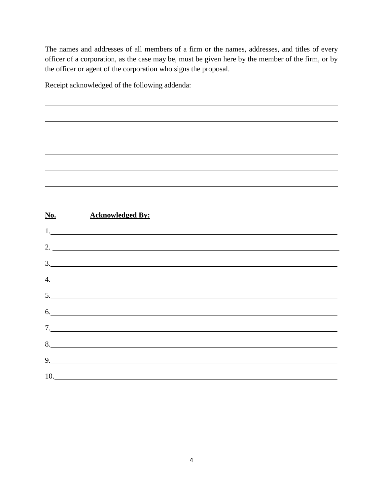The names and addresses of all members of a firm or the names, addresses, and titles of every officer of a corporation, as the case may be, must be given here by the member of the firm, or by the officer or agent of the corporation who signs the proposal.

Receipt acknowledged of the following addenda:



| No. Acknowledged By:                                                                                                                                                                                                                                                                                                                                                                               |  |
|----------------------------------------------------------------------------------------------------------------------------------------------------------------------------------------------------------------------------------------------------------------------------------------------------------------------------------------------------------------------------------------------------|--|
| $\begin{tabular}{ c c c c } \hline \rule{0.3cm}{.03cm} \textbf{1.} & \textbf{0.} & \textbf{0.} & \textbf{0.} \\ \hline \rule{0.3cm}{.03cm} \textbf{2.} & \textbf{0.} & \textbf{0.} & \textbf{0.} \\ \hline \rule{0.3cm}{.03cm} \textbf{3.} & \textbf{0.} & \textbf{0.} & \textbf{0.} \\ \hline \rule{0.3cm}{.03cm} \textbf{4.} & \textbf{0.} & \textbf{0.} & \textbf{0.} \\ \hline \rule{0.3cm}{.$ |  |
| 2.                                                                                                                                                                                                                                                                                                                                                                                                 |  |
| $\frac{3}{2}$                                                                                                                                                                                                                                                                                                                                                                                      |  |
| 4.                                                                                                                                                                                                                                                                                                                                                                                                 |  |
| 5.                                                                                                                                                                                                                                                                                                                                                                                                 |  |
| $\begin{array}{c} \hline \text{6.} \end{array}$                                                                                                                                                                                                                                                                                                                                                    |  |
| 7.                                                                                                                                                                                                                                                                                                                                                                                                 |  |
|                                                                                                                                                                                                                                                                                                                                                                                                    |  |
| 9.                                                                                                                                                                                                                                                                                                                                                                                                 |  |
| 10.                                                                                                                                                                                                                                                                                                                                                                                                |  |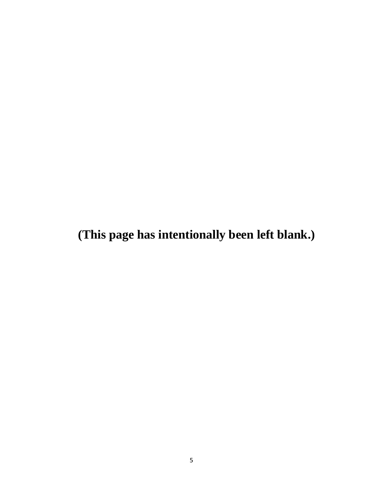**(This page has intentionally been left blank.)**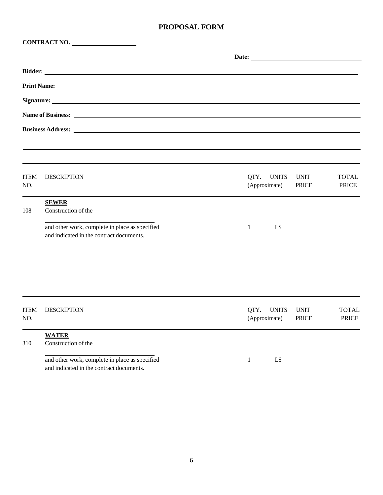# **PROPOSAL FORM**

|                    | CONTRACT NO.                                                                                                                                                                                                                              |                                       |                             |                              |
|--------------------|-------------------------------------------------------------------------------------------------------------------------------------------------------------------------------------------------------------------------------------------|---------------------------------------|-----------------------------|------------------------------|
|                    |                                                                                                                                                                                                                                           |                                       |                             |                              |
|                    | Bidder: National Communication of the Communication of the Communication of the Communication of the Communication of the Communication of the Communication of the Communication of the Communication of the Communication of            |                                       |                             |                              |
|                    | Print Name: <u>Department</u>                                                                                                                                                                                                             |                                       |                             |                              |
|                    |                                                                                                                                                                                                                                           |                                       |                             |                              |
|                    | Name of Business:                                                                                                                                                                                                                         |                                       |                             |                              |
|                    | <b>Business Address:</b> <u>Contract Community of the Community of the Community of the Community of the Community of the Community of the Community of the Community of the Community of the Community of the Community of the Commu</u> |                                       |                             |                              |
|                    |                                                                                                                                                                                                                                           |                                       |                             |                              |
| <b>ITEM</b><br>NO. | <b>DESCRIPTION</b>                                                                                                                                                                                                                        | QTY. UNITS<br>(Approximate)           | <b>UNIT</b><br><b>PRICE</b> | <b>TOTAL</b><br><b>PRICE</b> |
| 108                | <b>SEWER</b><br>Construction of the                                                                                                                                                                                                       |                                       |                             |                              |
|                    | and other work, complete in place as specified<br>and indicated in the contract documents.                                                                                                                                                | LS<br>1                               |                             |                              |
|                    |                                                                                                                                                                                                                                           |                                       |                             |                              |
| <b>ITEM</b><br>NO. | <b>DESCRIPTION</b>                                                                                                                                                                                                                        | QTY.<br><b>UNITS</b><br>(Approximate) | <b>UNIT</b><br><b>PRICE</b> | <b>TOTAL</b><br><b>PRICE</b> |
| 310                | <b>WATER</b><br>Construction of the                                                                                                                                                                                                       |                                       |                             |                              |
|                    | and other work, complete in place as specified<br>and indicated in the contract documents.                                                                                                                                                | ${\rm LS}$<br>$\mathbf{1}$            |                             |                              |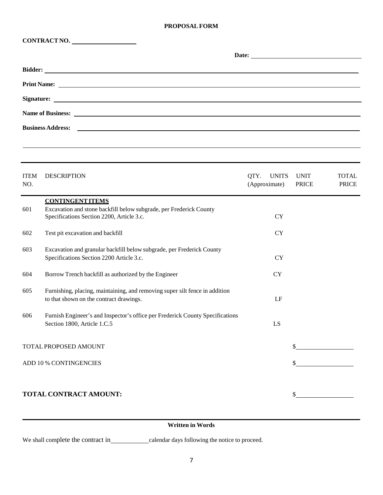### **PROPOSALFORM**

| CONTRACT NO.       |                                                                                                                                            |                                       |                             |                              |  |  |
|--------------------|--------------------------------------------------------------------------------------------------------------------------------------------|---------------------------------------|-----------------------------|------------------------------|--|--|
|                    |                                                                                                                                            |                                       |                             |                              |  |  |
|                    |                                                                                                                                            |                                       |                             |                              |  |  |
|                    |                                                                                                                                            |                                       |                             |                              |  |  |
|                    |                                                                                                                                            |                                       |                             |                              |  |  |
|                    |                                                                                                                                            |                                       |                             |                              |  |  |
|                    | <b>Business Address:</b><br><u> 1989 - Johann Barnett, fransk politik (d. 1989)</u>                                                        |                                       |                             |                              |  |  |
|                    |                                                                                                                                            |                                       |                             |                              |  |  |
|                    |                                                                                                                                            |                                       |                             |                              |  |  |
| <b>ITEM</b><br>NO. | <b>DESCRIPTION</b>                                                                                                                         | QTY.<br><b>UNITS</b><br>(Approximate) | <b>UNIT</b><br><b>PRICE</b> | <b>TOTAL</b><br><b>PRICE</b> |  |  |
| 601                | <b>CONTINGENT ITEMS</b><br>Excavation and stone backfill below subgrade, per Frederick County<br>Specifications Section 2200, Article 3.c. | <b>CY</b>                             |                             |                              |  |  |
| 602                | Test pit excavation and backfill                                                                                                           | <b>CY</b>                             |                             |                              |  |  |
| 603                | Excavation and granular backfill below subgrade, per Frederick County<br>Specifications Section 2200 Article 3.c.                          | <b>CY</b>                             |                             |                              |  |  |
| 604                | Borrow Trench backfill as authorized by the Engineer                                                                                       | <b>CY</b>                             |                             |                              |  |  |
| 605                | Furnishing, placing, maintaining, and removing super silt fence in addition<br>to that shown on the contract drawings.                     | LF                                    |                             |                              |  |  |
| 606                | Furnish Engineer's and Inspector's office per Frederick County Specifications<br>Section 1800, Article 1.C.5                               | LS                                    |                             |                              |  |  |
|                    | TOTAL PROPOSED AMOUNT                                                                                                                      |                                       |                             |                              |  |  |
|                    | ADD 10 % CONTINGENCIES                                                                                                                     |                                       |                             |                              |  |  |
|                    | TOTAL CONTRACT AMOUNT:                                                                                                                     |                                       |                             |                              |  |  |

**Written in Words**

We shall complete the contract in\_\_\_\_\_\_\_\_\_\_\_\_\_\_\_\_\_\_calendar days following the notice to proceed.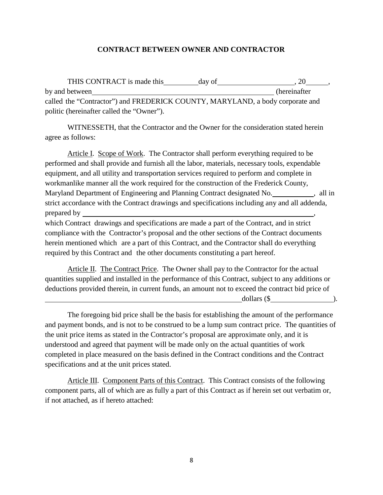### **CONTRACT BETWEEN OWNER AND CONTRACTOR**

THIS CONTRACT is made this day of , 20 , 20 by and between (hereinafter) (hereinafter called the "Contractor") and FREDERICK COUNTY, MARYLAND, a body corporate and politic (hereinafter called the "Owner").

WITNESSETH, that the Contractor and the Owner for the consideration stated herein agree as follows:

Article I. Scope of Work. The Contractor shall perform everything required to be performed and shall provide and furnish all the labor, materials, necessary tools, expendable equipment, and all utility and transportation services required to perform and complete in workmanlike manner all the work required for the construction of the Frederick County, Maryland Department of Engineering and Planning Contract designated No.  $\qquad \qquad$ , all in strict accordance with the Contract drawings and specifications including any and all addenda, prepared by

which Contract drawings and specifications are made a part of the Contract, and in strict compliance with the Contractor's proposal and the other sections of the Contract documents herein mentioned which are a part of this Contract, and the Contractor shall do everything required by this Contract and the other documents constituting a part hereof.

Article II. The Contract Price. The Owner shall pay to the Contractor for the actual quantities supplied and installed in the performance of this Contract, subject to any additions or deductions provided therein, in current funds, an amount not to exceed the contract bid price of  $dollars (§$  ).

The foregoing bid price shall be the basis for establishing the amount of the performance and payment bonds, and is not to be construed to be a lump sum contract price. The quantities of the unit price items as stated in the Contractor's proposal are approximate only, and it is understood and agreed that payment will be made only on the actual quantities of work completed in place measured on the basis defined in the Contract conditions and the Contract specifications and at the unit prices stated.

Article III. Component Parts of this Contract. This Contract consists of the following component parts, all of which are as fully a part of this Contract as if herein set out verbatim or, if not attached, as if hereto attached: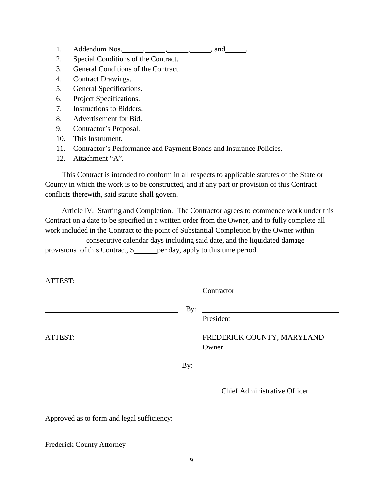1. Addendum Nos. <u>, , , , , , , , and</u> , , and ...

- 2. Special Conditions of the Contract.
- 3. General Conditions of the Contract.
- 4. Contract Drawings.
- 5. General Specifications.
- 6. Project Specifications.
- 7. Instructions to Bidders.
- 8. Advertisement for Bid.
- 9. Contractor's Proposal.
- 10. This Instrument.
- 11. Contractor's Performance and Payment Bonds and Insurance Policies.
- 12. Attachment "A".

This Contract is intended to conform in all respects to applicable statutes of the State or County in which the work is to be constructed, and if any part or provision of this Contract conflicts therewith, said statute shall govern.

Article IV. Starting and Completion. The Contractor agrees to commence work under this Contract on a date to be specified in a written order from the Owner, and to fully complete all work included in the Contract to the point of Substantial Completion by the Owner within consecutive calendar days including said date, and the liquidated damage provisions of this Contract,  $\frac{1}{2}$  per day, apply to this time period.

|     | Contractor                          |
|-----|-------------------------------------|
| By: |                                     |
|     | President                           |
|     | FREDERICK COUNTY, MARYLAND<br>Owner |
| By: |                                     |
|     | <b>Chief Administrative Officer</b> |
|     |                                     |

Approved as to form and legal sufficiency:

Frederick County Attorney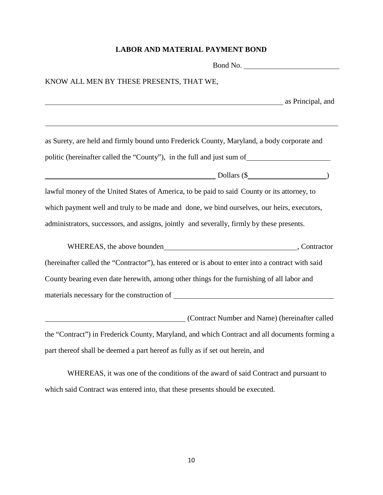# **LABOR AND MATERIAL PAYMENT BOND**

| Bond No.                                                                                          |
|---------------------------------------------------------------------------------------------------|
| KNOW ALL MEN BY THESE PRESENTS, THAT WE,                                                          |
| as Principal, and as Principal, and                                                               |
| as Surety, are held and firmly bound unto Frederick County, Maryland, a body corporate and        |
|                                                                                                   |
| $Dollars (\S$                                                                                     |
| lawful money of the United States of America, to be paid to said County or its attorney, to       |
| which payment well and truly to be made and done, we bind ourselves, our heirs, executors,        |
| administrators, successors, and assigns, jointly and severally, firmly by these presents.         |
|                                                                                                   |
| (hereinafter called the "Contractor"), has entered or is about to enter into a contract with said |
| County bearing even date herewith, among other things for the furnishing of all labor and         |
| materials necessary for the construction of <b>Exeting Construction</b> of                        |
| (Contract Number and Name) (hereinafter called                                                    |
| the "Contract") in Frederick County, Maryland, and which Contract and all documents forming a     |
| part thereof shall be deemed a part hereof as fully as if set out herein, and                     |

WHEREAS, it was one of the conditions of the award of said Contract and pursuant to which said Contract was entered into, that these presents should be executed.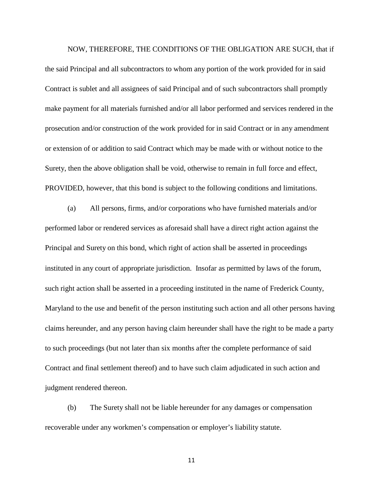#### NOW, THEREFORE, THE CONDITIONS OF THE OBLIGATION ARE SUCH, that if

the said Principal and all subcontractors to whom any portion of the work provided for in said Contract is sublet and all assignees of said Principal and of such subcontractors shall promptly make payment for all materials furnished and/or all labor performed and services rendered in the prosecution and/or construction of the work provided for in said Contract or in any amendment or extension of or addition to said Contract which may be made with or without notice to the Surety, then the above obligation shall be void, otherwise to remain in full force and effect, PROVIDED, however, that this bond is subject to the following conditions and limitations.

(a) All persons, firms, and/or corporations who have furnished materials and/or performed labor or rendered services as aforesaid shall have a direct right action against the Principal and Surety on this bond, which right of action shall be asserted in proceedings instituted in any court of appropriate jurisdiction. Insofar as permitted by laws of the forum, such right action shall be asserted in a proceeding instituted in the name of Frederick County, Maryland to the use and benefit of the person instituting such action and all other persons having claims hereunder, and any person having claim hereunder shall have the right to be made a party to such proceedings (but not later than six months after the complete performance of said Contract and final settlement thereof) and to have such claim adjudicated in such action and judgment rendered thereon.

(b) The Surety shall not be liable hereunder for any damages or compensation recoverable under any workmen's compensation or employer's liability statute.

11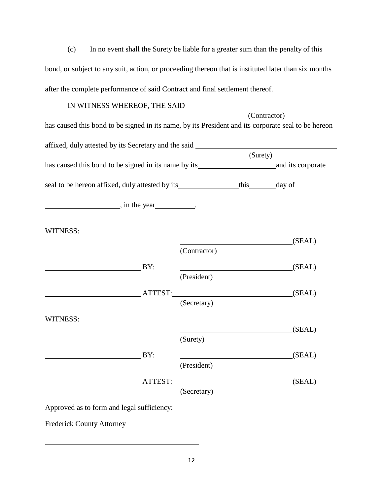(c) In no event shall the Surety be liable for a greater sum than the penalty of this bond, or subject to any suit, action, or proceeding thereon that is instituted later than six months after the complete performance of said Contract and final settlement thereof.

| IN WITNESS WHEREOF, THE SAID University of the SAID                                                 |     |                |                                                                                                                                                                                                                                      |        |
|-----------------------------------------------------------------------------------------------------|-----|----------------|--------------------------------------------------------------------------------------------------------------------------------------------------------------------------------------------------------------------------------------|--------|
|                                                                                                     |     |                | (Contractor)                                                                                                                                                                                                                         |        |
| has caused this bond to be signed in its name, by its President and its corporate seal to be hereon |     |                |                                                                                                                                                                                                                                      |        |
|                                                                                                     |     |                |                                                                                                                                                                                                                                      |        |
| affixed, duly attested by its Secretary and the said ____________________________                   |     |                |                                                                                                                                                                                                                                      |        |
|                                                                                                     |     |                | (Surety)                                                                                                                                                                                                                             |        |
|                                                                                                     |     |                |                                                                                                                                                                                                                                      |        |
| seal to be hereon affixed, duly attested by its ______________this _______ day of                   |     |                |                                                                                                                                                                                                                                      |        |
|                                                                                                     |     |                |                                                                                                                                                                                                                                      |        |
| $\frac{1}{\sqrt{1-\frac{1}{2}}}\sin \theta$ the year $\frac{1}{\sqrt{1-\frac{1}{2}}}\sin \theta$ .  |     |                |                                                                                                                                                                                                                                      |        |
|                                                                                                     |     |                |                                                                                                                                                                                                                                      |        |
| <b>WITNESS:</b>                                                                                     |     |                |                                                                                                                                                                                                                                      |        |
|                                                                                                     |     |                |                                                                                                                                                                                                                                      | (SEAL) |
|                                                                                                     |     | (Contractor)   |                                                                                                                                                                                                                                      |        |
| BY:                                                                                                 |     |                |                                                                                                                                                                                                                                      | (SEAL) |
|                                                                                                     |     | (President)    |                                                                                                                                                                                                                                      |        |
|                                                                                                     |     |                |                                                                                                                                                                                                                                      | (SEAL) |
|                                                                                                     |     | (Secretary)    |                                                                                                                                                                                                                                      |        |
|                                                                                                     |     |                |                                                                                                                                                                                                                                      |        |
| WITNESS:                                                                                            |     |                |                                                                                                                                                                                                                                      | (SEAL) |
|                                                                                                     |     | (Surety)       | <u> 1990 - Johann John Stein, markin sanadi sa mga kasang mga mga kasang mga kasang mga kasang mga kasang mga kasang mga kasang mga kasang mga kasang mga kasang mga kasang mga kasang mga kasang mga kasang mga kasang mga kasa</u> |        |
|                                                                                                     |     |                |                                                                                                                                                                                                                                      |        |
|                                                                                                     | BY: |                |                                                                                                                                                                                                                                      | (SEAL) |
|                                                                                                     |     | (President)    |                                                                                                                                                                                                                                      |        |
|                                                                                                     |     | ATTEST: (SEAL) |                                                                                                                                                                                                                                      |        |
|                                                                                                     |     | (Secretary)    |                                                                                                                                                                                                                                      |        |
|                                                                                                     |     |                |                                                                                                                                                                                                                                      |        |

Approved as to form and legal sufficiency:

Frederick County Attorney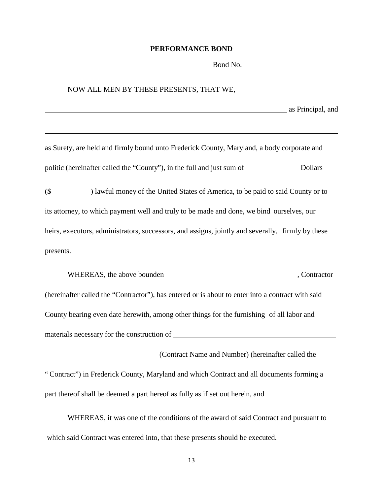#### **PERFORMANCE BOND**

Bond No. NOW ALL MEN BY THESE PRESENTS, THAT WE, as Principal, and as Surety, are held and firmly bound unto Frederick County, Maryland, a body corporate and politic (hereinafter called the "County"), in the full and just sum of Dollars (\$ ) lawful money of the United States of America, to be paid to said County or to its attorney, to which payment well and truly to be made and done, we bind ourselves, our heirs, executors, administrators, successors, and assigns, jointly and severally, firmly by these presents.

WHEREAS, the above bounden , Contractor (hereinafter called the "Contractor"), has entered or is about to enter into a contract with said County bearing even date herewith, among other things for the furnishing of all labor and materials necessary for the construction of

(Contract Name and Number) (hereinafter called the " Contract") in Frederick County, Maryland and which Contract and all documents forming a part thereof shall be deemed a part hereof as fully as if set out herein, and

WHEREAS, it was one of the conditions of the award of said Contract and pursuant to which said Contract was entered into, that these presents should be executed.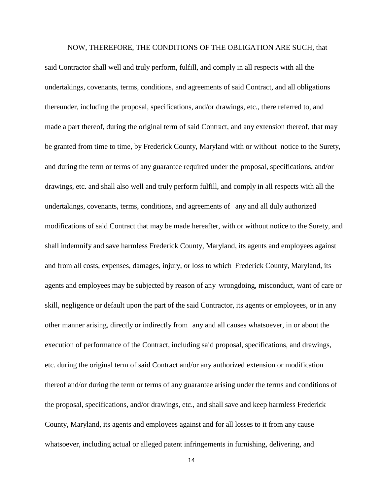#### NOW, THEREFORE, THE CONDITIONS OF THE OBLIGATION ARE SUCH, that

said Contractor shall well and truly perform, fulfill, and comply in all respects with all the undertakings, covenants, terms, conditions, and agreements of said Contract, and all obligations thereunder, including the proposal, specifications, and/or drawings, etc., there referred to, and made a part thereof, during the original term of said Contract, and any extension thereof, that may be granted from time to time, by Frederick County, Maryland with or without notice to the Surety, and during the term or terms of any guarantee required under the proposal, specifications, and/or drawings, etc. and shall also well and truly perform fulfill, and comply in all respects with all the undertakings, covenants, terms, conditions, and agreements of any and all duly authorized modifications of said Contract that may be made hereafter, with or without notice to the Surety, and shall indemnify and save harmless Frederick County, Maryland, its agents and employees against and from all costs, expenses, damages, injury, or loss to which Frederick County, Maryland, its agents and employees may be subjected by reason of any wrongdoing, misconduct, want of care or skill, negligence or default upon the part of the said Contractor, its agents or employees, or in any other manner arising, directly or indirectly from any and all causes whatsoever, in or about the execution of performance of the Contract, including said proposal, specifications, and drawings, etc. during the original term of said Contract and/or any authorized extension or modification thereof and/or during the term or terms of any guarantee arising under the terms and conditions of the proposal, specifications, and/or drawings, etc., and shall save and keep harmless Frederick County, Maryland, its agents and employees against and for all losses to it from any cause whatsoever, including actual or alleged patent infringements in furnishing, delivering, and

14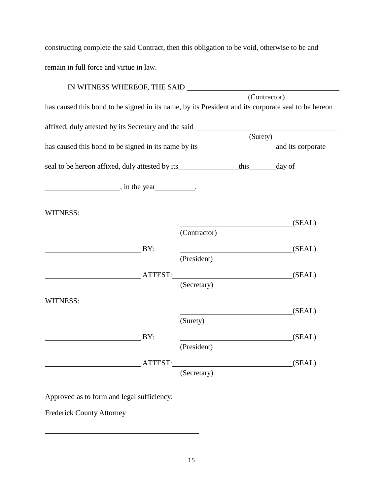constructing complete the said Contract, then this obligation to be void, otherwise to be and remain in full force and virtue in law.

| IN WITNESS WHEREOF, THE SAID                                                                        |     |              |          |              |
|-----------------------------------------------------------------------------------------------------|-----|--------------|----------|--------------|
|                                                                                                     |     |              |          | (Contractor) |
| has caused this bond to be signed in its name, by its President and its corporate seal to be hereon |     |              |          |              |
|                                                                                                     |     |              |          |              |
|                                                                                                     |     |              |          |              |
|                                                                                                     |     |              | (Surety) |              |
|                                                                                                     |     |              |          |              |
| seal to be hereon affixed, duly attested by its ______________this ________ day of                  |     |              |          |              |
| $\frac{1}{2}$ , in the year<br>$\frac{1}{2}$ .                                                      |     |              |          |              |
|                                                                                                     |     |              |          |              |
| <b>WITNESS:</b>                                                                                     |     |              |          |              |
|                                                                                                     |     |              |          | (SEAL)       |
|                                                                                                     |     | (Contractor) |          |              |
| BY:                                                                                                 |     |              |          | (SEAL)       |
|                                                                                                     |     | (President)  |          |              |
| ATTEST: New York Changes and Security ATTEST:                                                       |     |              |          | (SEAL)       |
|                                                                                                     |     | (Secretary)  |          |              |
| <b>WITNESS:</b>                                                                                     |     |              |          |              |
|                                                                                                     |     |              |          | (SEAL)       |
|                                                                                                     |     | (Surety)     |          |              |
|                                                                                                     | BY: |              |          | (SEAL)       |
|                                                                                                     |     | (President)  |          |              |
|                                                                                                     |     | ATTEST:      |          | (SEAL)       |
|                                                                                                     |     | (Secretary)  |          |              |

Approved as to form and legal sufficiency:

Frederick County Attorney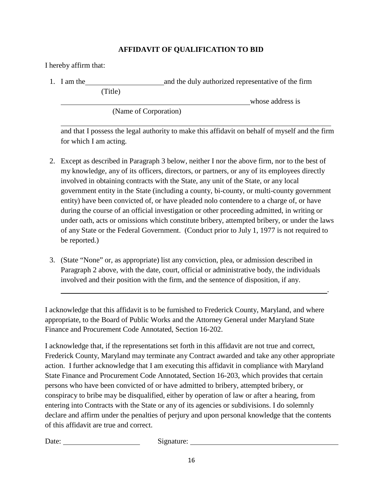## **AFFIDAVIT OF QUALIFICATION TO BID**

I hereby affirm that:

| 1. I am the | and the duly authorized representative of the firm |
|-------------|----------------------------------------------------|
| (Title)     |                                                    |
|             | whose address is                                   |

(Name of Corporation)

and that I possess the legal authority to make this affidavit on behalf of myself and the firm for which I am acting.

- 2. Except as described in Paragraph 3 below, neither I nor the above firm, nor to the best of my knowledge, any of its officers, directors, or partners, or any of its employees directly involved in obtaining contracts with the State, any unit of the State, or any local government entity in the State (including a county, bi-county, or multi-county government entity) have been convicted of, or have pleaded nolo contendere to a charge of, or have during the course of an official investigation or other proceeding admitted, in writing or under oath, acts or omissions which constitute bribery, attempted bribery, or under the laws of any State or the Federal Government. (Conduct prior to July 1, 1977 is not required to be reported.)
- 3. (State "None" or, as appropriate) list any conviction, plea, or admission described in Paragraph 2 above, with the date, court, official or administrative body, the individuals involved and their position with the firm, and the sentence of disposition, if any.

.

I acknowledge that this affidavit is to be furnished to Frederick County, Maryland, and where appropriate, to the Board of Public Works and the Attorney General under Maryland State Finance and Procurement Code Annotated, Section 16-202.

I acknowledge that, if the representations set forth in this affidavit are not true and correct, Frederick County, Maryland may terminate any Contract awarded and take any other appropriate action. I further acknowledge that I am executing this affidavit in compliance with Maryland State Finance and Procurement Code Annotated, Section 16-203, which provides that certain persons who have been convicted of or have admitted to bribery, attempted bribery, or conspiracy to bribe may be disqualified, either by operation of law or after a hearing, from entering into Contracts with the State or any of its agencies or subdivisions. I do solemnly declare and affirm under the penalties of perjury and upon personal knowledge that the contents of this affidavit are true and correct.

Date: Signature: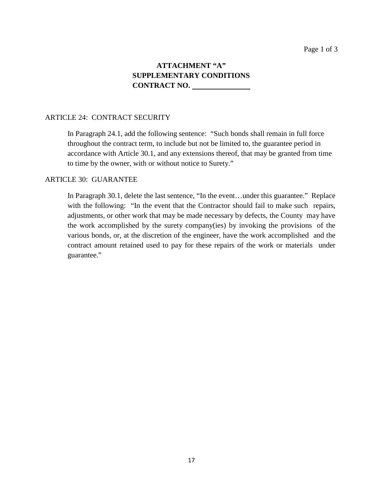# **ATTACHMENT "A" SUPPLEMENTARY CONDITIONS CONTRACT NO.**

#### ARTICLE 24: CONTRACT SECURITY

In Paragraph 24.1, add the following sentence: "Such bonds shall remain in full force throughout the contract term, to include but not be limited to, the guarantee period in accordance with Article 30.1, and any extensions thereof, that may be granted from time to time by the owner, with or without notice to Surety."

### ARTICLE 30: GUARANTEE

In Paragraph 30.1, delete the last sentence, "In the event…under this guarantee." Replace with the following: "In the event that the Contractor should fail to make such repairs, adjustments, or other work that may be made necessary by defects, the County may have the work accomplished by the surety company(ies) by invoking the provisions of the various bonds, or, at the discretion of the engineer, have the work accomplished and the contract amount retained used to pay for these repairs of the work or materials under guarantee."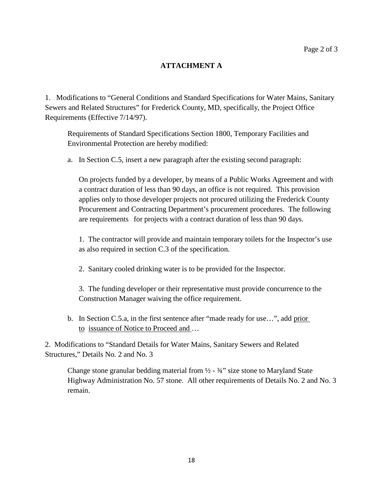### **ATTACHMENT A**

1. Modifications to "General Conditions and Standard Specifications for Water Mains, Sanitary Sewers and Related Structures" for Frederick County, MD, specifically, the Project Office Requirements (Effective 7/14/97).

Requirements of Standard Specifications Section 1800, Temporary Facilities and Environmental Protection are hereby modified:

a. In Section C.5, insert a new paragraph after the existing second paragraph:

On projects funded by a developer, by means of a Public Works Agreement and with a contract duration of less than 90 days, an office is not required. This provision applies only to those developer projects not procured utilizing the Frederick County Procurement and Contracting Department's procurement procedures. The following are requirements for projects with a contract duration of less than 90 days.

1. The contractor will provide and maintain temporary toilets for the Inspector's use as also required in section C.3 of the specification.

2. Sanitary cooled drinking water is to be provided for the Inspector.

3. The funding developer or their representative must provide concurrence to the Construction Manager waiving the office requirement.

b. In Section C.5.a, in the first sentence after "made ready for use...", add prior to issuance of Notice to Proceed and …

2. Modifications to "Standard Details for Water Mains, Sanitary Sewers and Related Structures," Details No. 2 and No. 3

Change stone granular bedding material from  $\frac{1}{2}$  -  $\frac{3}{4}$ " size stone to Maryland State Highway Administration No. 57 stone. All other requirements of Details No. 2 and No. 3 remain.